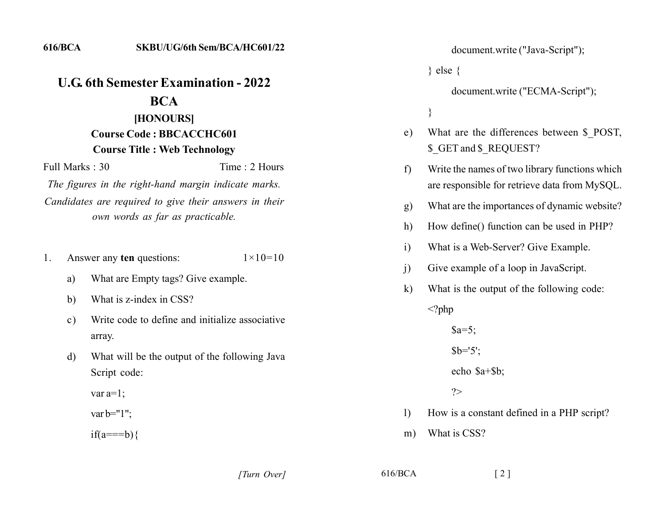**616/BCA** 

Full Marks  $\cdot$  30

## **U.G. 6th Semester Examination - 2022 BCA** [HONOURS]

## **Course Code: BBCACCHC601 Course Title: Web Technology**

Time  $\cdot$  2 Hours

The figures in the right-hand margin indicate marks. Candidates are required to give their answers in their own words as far as practicable.

- Answer any ten questions: 1.  $1 \times 10 = 10$ 
	- What are Empty tags? Give example. a)
	- What is z-index in CSS?  $b)$
	- Write code to define and initialize associative  $\mathbf{c}$ ) array.
	- What will be the output of the following Java d) Script code:

var  $a=1$ ;

var b= $"1"$ ;

 $if(a == b)$ 

document.write ("Java-Script");

 $\}$  else  $\{$ 

document.write ("ECMA-Script");

 $\}$ 

- What are the differences between \$ POST, e) \$ GET and \$ REQUEST?
- Write the names of two library functions which f) are responsible for retrieve data from MySQL.
- What are the importances of dynamic website?  $g)$
- How define() function can be used in PHP?  $h)$
- What is a Web-Server? Give Example.  $\mathbf{i}$
- $\mathbf{i}$ Give example of a loop in JavaScript.
- What is the output of the following code:  $\bf k$

 $\langle$ ?php

 $a=5$ ;  $$b=5$ echo \$a+\$b;  $\gamma$ 

- How is a constant defined in a PHP script?  $\left| \right|$
- What is CSS?  $m)$

[Turn Over]

 $616/BCA$